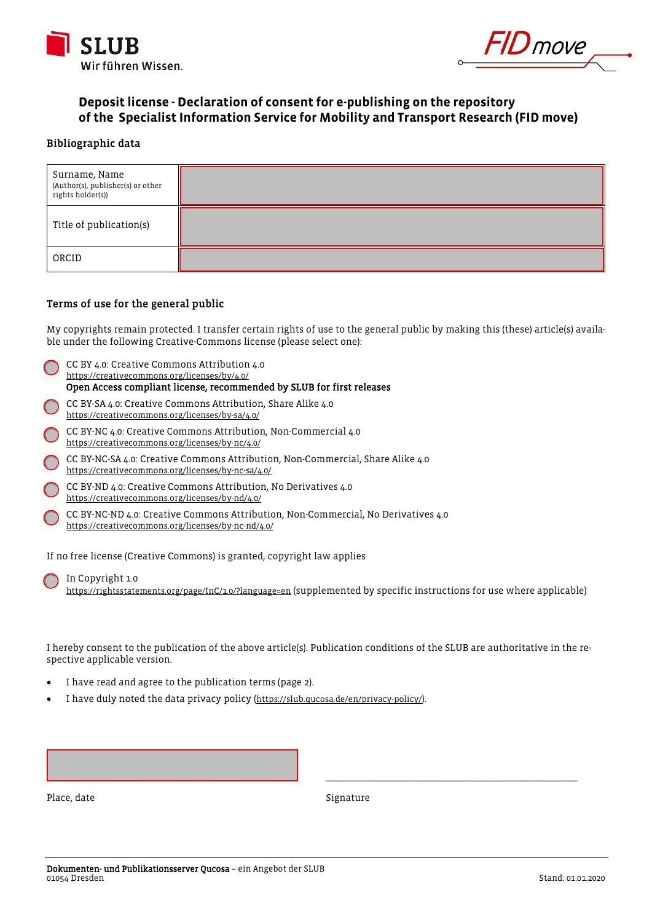



# **Deposit license - Declaration of consent for e-publishing on the repository of the Specialist Information Service for Mobility and Transport Research (FID move)**

### Bibliographic data

| Surname, Name<br>(Author(s), publisher(s) or other<br>rights holder(s)) |  |
|-------------------------------------------------------------------------|--|
| Title of publication(s)                                                 |  |
| ORCID                                                                   |  |

#### Terms of use for the general public

My copyrights remain protected. I transfer certain rights of use to the general public by making this (these) article(s) available under the following Creative-Commons license (please select one):

|                                                                         | CC BY 4.0: Creative Commons Attribution 4.0<br>https://creativecommons.org/licenses/by/4.0/<br>Open Access compliant license, recommended by SLUB for first releases |  |
|-------------------------------------------------------------------------|----------------------------------------------------------------------------------------------------------------------------------------------------------------------|--|
|                                                                         | CC BY-SA 4.0: Creative Commons Attribution, Share Alike 4.0<br>https://creativecommons.org/licenses/by-sa/4.0/                                                       |  |
|                                                                         | CC BY-NC 4.0: Creative Commons Attribution, Non-Commercial 4.0<br>https://creativecommons.org/licenses/by-nc/4.0/                                                    |  |
|                                                                         | CC BY-NC-SA 4.0: Creative Commons Attribution, Non-Commercial, Share Alike 4.0<br>https://creativecommons.org/licenses/by-nc-sa/4.0/                                 |  |
|                                                                         | CC BY-ND 4.0: Creative Commons Attribution, No Derivatives 4.0<br>https://creativecommons.org/licenses/by-nd/4.0/                                                    |  |
|                                                                         | CC BY-NC-ND 4.0: Creative Commons Attribution, Non-Commercial, No Derivatives 4.0<br>https://creativecommons.org/licenses/by-nc-nd/4.0/                              |  |
| If no free license (Creative Commons) is granted, copyright law applies |                                                                                                                                                                      |  |

 In Copyright 1.0 [https://rightsstatements.org/page/InC/1.0/?language=en \(](https://rightsstatements.org/page/InC/1.0/?language=en)supplemented by specific instructions for use where applicable)

I hereby consent to the publication of the above article(s). Publication conditions of the SLUB are authoritative in the respective applicable version.

- I have read and agree to the publication terms (page 2).
- I have duly noted the data privacy policy [\(https://slub.qucosa.de/en/privacy-policy/\)](https://slub.qucosa.de/en/privacy-policy/).

\_\_\_\_\_\_\_\_\_\_\_\_\_\_\_\_\_\_\_\_\_\_\_\_\_\_\_\_\_\_\_\_\_\_\_\_\_\_\_\_\_\_\_\_\_\_\_\_\_\_\_ \_\_\_\_\_\_\_\_\_\_\_\_\_\_\_\_\_\_\_\_\_\_\_\_\_\_\_\_\_\_\_\_\_\_\_\_\_\_\_\_\_\_\_\_\_\_\_\_\_\_\_ Place, date Signature Signature